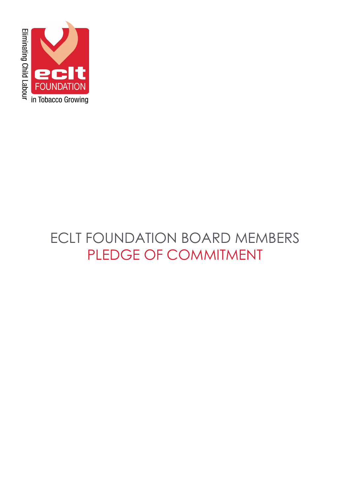

# ECLT FOUNDATION BOARD MEMBERS PLEDGE OF COMMITMENT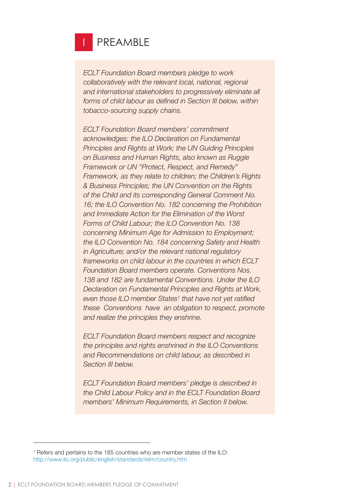

*ECLT Foundation Board members pledge to work collaboratively with the relevant local, national, regional and international stakeholders to progressively eliminate all forms of child labour as defined in Section III below, within tobacco-sourcing supply chains.*

*ECLT Foundation Board members' commitment acknowledges: the ILO Declaration on Fundamental Principles and Rights at Work; the UN Guiding Principles on Business and Human Rights, also known as Ruggie Framework or UN "Protect, Respect, and Remedy" Framework, as they relate to children; the Children's Rights & Business Principles; the UN Convention on the Rights of the Child and its corresponding General Comment No. 16; the ILO Convention No. 182 concerning the Prohibition and Immediate Action for the Elimination of the Worst Forms of Child Labour; the ILO Convention No. 138 concerning Minimum Age for Admission to Employment; the ILO Convention No. 184 concerning Safety and Health in Agriculture; and/or the relevant national regulatory frameworks on child labour in the countries in which ECLT Foundation Board members operate. Conventions Nos. 138 and 182 are fundamental Conventions. Under the ILO Declaration on Fundamental Principles and Rights at Work, even those ILO member States<sup>1</sup> that have not yet ratified these Conventions have an obligation to respect, promote and realize the principles they enshrine.*

*ECLT Foundation Board members respect and recognize the principles and rights enshrined in the ILO Conventions and Recommendations on child labour, as described in Section III below.*

*ECLT Foundation Board members' pledge is described in the Child Labour Policy and in the ECLT Foundation Board members' Minimum Requirements, in Section II below.*

<sup>&</sup>lt;sup>1</sup> Refers and pertains to the 185 countries who are member states of the ILO: http://www.ilo.org/public/english/standards/relm/country.htm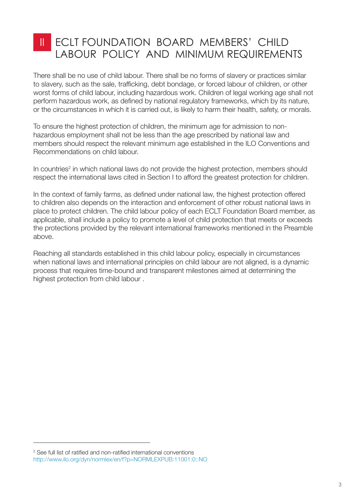### ECLT FOUNDATION BOARD MEMBERS' CHILD LABOUR POLICY AND MINIMUM REQUIREMENTS II

There shall be no use of child labour. There shall be no forms of slavery or practices similar to slavery, such as the sale, trafficking, debt bondage, or forced labour of children, or other worst forms of child labour, including hazardous work. Children of legal working age shall not perform hazardous work, as defined by national regulatory frameworks, which by its nature, or the circumstances in which it is carried out, is likely to harm their health, safety, or morals.

To ensure the highest protection of children, the minimum age for admission to nonhazardous employment shall not be less than the age prescribed by national law and members should respect the relevant minimum age established in the ILO Conventions and Recommendations on child labour.

In countries<sup>2</sup> in which national laws do not provide the highest protection, members should respect the international laws cited in Section I to afford the greatest protection for children.

In the context of family farms, as defined under national law, the highest protection offered to children also depends on the interaction and enforcement of other robust national laws in place to protect children. The child labour policy of each ECLT Foundation Board member, as applicable, shall include a policy to promote a level of child protection that meets or exceeds the protections provided by the relevant international frameworks mentioned in the Preamble above.

Reaching all standards established in this child labour policy, especially in circumstances when national laws and international principles on child labour are not aligned, is a dynamic process that requires time-bound and transparent milestones aimed at determining the highest protection from child labour .

<sup>2</sup> See full list of ratified and non-ratified international conventions http://www.ilo.org/dyn/normlex/en/f?p=NORMLEXPUB:11001:0::NO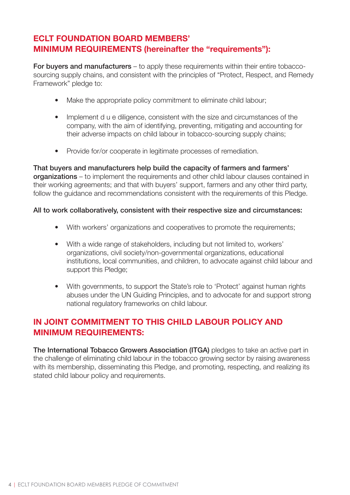### **ECLT FOUNDATION BOARD MEMBERS' MINIMUM REQUIREMENTS (hereinafter the "requirements"):**

For buyers and manufacturers – to apply these requirements within their entire tobaccosourcing supply chains, and consistent with the principles of "Protect, Respect, and Remedy Framework" pledge to:

- Make the appropriate policy commitment to eliminate child labour;
- Implement d u e diligence, consistent with the size and circumstances of the company, with the aim of identifying, preventing, mitigating and accounting for their adverse impacts on child labour in tobacco-sourcing supply chains;
- Provide for/or cooperate in legitimate processes of remediation.

That buyers and manufacturers help build the capacity of farmers and farmers' organizations – to implement the requirements and other child labour clauses contained in their working agreements; and that with buyers' support, farmers and any other third party, follow the guidance and recommendations consistent with the requirements of this Pledge.

### All to work collaboratively, consistent with their respective size and circumstances:

- With workers' organizations and cooperatives to promote the requirements;
- With a wide range of stakeholders, including but not limited to, workers' organizations, civil society/non-governmental organizations, educational institutions, local communities, and children, to advocate against child labour and support this Pledge;
- With governments, to support the State's role to 'Protect' against human rights abuses under the UN Guiding Principles, and to advocate for and support strong national regulatory frameworks on child labour.

### **IN JOINT COMMITMENT TO THIS CHILD LABOUR POLICY AND MINIMUM REQUIREMENTS:**

The International Tobacco Growers Association (ITGA) pledges to take an active part in the challenge of eliminating child labour in the tobacco growing sector by raising awareness with its membership, disseminating this Pledge, and promoting, respecting, and realizing its stated child labour policy and requirements.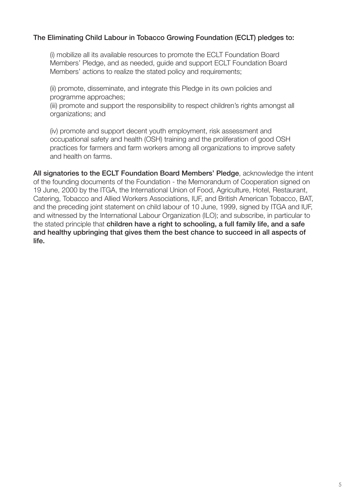### The Eliminating Child Labour in Tobacco Growing Foundation (ECLT) pledges to:

(i) mobilize all its available resources to promote the ECLT Foundation Board Members' Pledge, and as needed, guide and support ECLT Foundation Board Members' actions to realize the stated policy and requirements;

(ii) promote, disseminate, and integrate this Pledge in its own policies and programme approaches;

(iii) promote and support the responsibility to respect children's rights amongst all organizations; and

(iv) promote and support decent youth employment, risk assessment and occupational safety and health (OSH) training and the proliferation of good OSH practices for farmers and farm workers among all organizations to improve safety and health on farms.

All signatories to the ECLT Foundation Board Members' Pledge, acknowledge the intent of the founding documents of the Foundation - the Memorandum of Cooperation signed on 19 June, 2000 by the ITGA, the International Union of Food, Agriculture, Hotel, Restaurant, Catering, Tobacco and Allied Workers Associations, IUF, and British American Tobacco, BAT, and the preceding joint statement on child labour of 10 June, 1999, signed by ITGA and IUF, and witnessed by the International Labour Organization (ILO); and subscribe, in particular to the stated principle that children have a right to schooling, a full family life, and a safe and healthy upbringing that gives them the best chance to succeed in all aspects of life.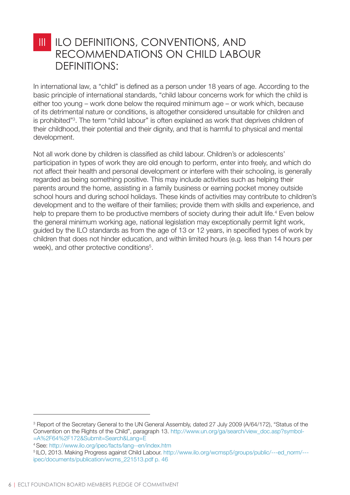### ILO DEFINITIONS, CONVENTIONS, AND RECOMMENDATIONS ON CHILD LABOUR DEFINITIONS: III

In international law, a "child" is defined as a person under 18 years of age. According to the basic principle of international standards, "child labour concerns work for which the child is either too young – work done below the required minimum age – or work which, because of its detrimental nature or conditions, is altogether considered unsuitable for children and is prohibited"<sup>3</sup> . The term "child labour" is often explained as work that deprives children of their childhood, their potential and their dignity, and that is harmful to physical and mental development.

Not all work done by children is classified as child labour. Children's or adolescents' participation in types of work they are old enough to perform, enter into freely, and which do not affect their health and personal development or interfere with their schooling, is generally regarded as being something positive. This may include activities such as helping their parents around the home, assisting in a family business or earning pocket money outside school hours and during school holidays. These kinds of activities may contribute to children's development and to the welfare of their families; provide them with skills and experience, and help to prepare them to be productive members of society during their adult life.<sup>4</sup> Even below the general minimum working age, national legislation may exceptionally permit light work, guided by the ILO standards as from the age of 13 or 12 years, in specified types of work by children that does not hinder education, and within limited hours (e.g. less than 14 hours per week), and other protective conditions<sup>5</sup>.

<sup>&</sup>lt;sup>3</sup> Report of the Secretary General to the UN General Assembly, dated 27 July 2009 (A/64/172), "Status of the Convention on the Rights of the Child", paragraph 13. http://www.un.org/ga/search/view\_doc.asp?symbol- =A%2F64%2F172&Submit=Search&Lang=E

<sup>4</sup> See: http://www.ilo.org/ipec/facts/lang--en/index.htm

<sup>5</sup>ILO, 2013. Making Progress against Child Labour. http://www.ilo.org/wcmsp5/groups/public/---ed\_norm/-- ipec/documents/publication/wcms\_221513.pdf p. 46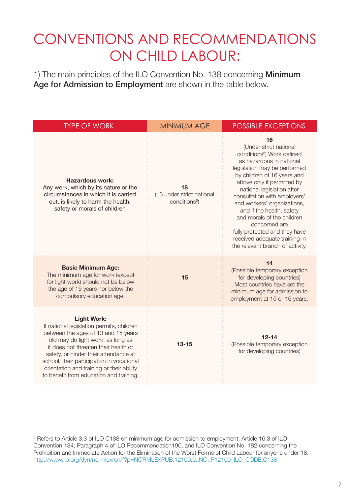# CONVENTIONS AND RECOMMENDATIONS ON CHILD LABOUR:

1) The main principles of the ILO Convention No. 138 concerning Minimum Age for Admission to Employment are shown in the table below.

| <b>TYPE OF WORK</b>                                                                                                                                                                                                                                                                                                                                               | <b>MINIMUM AGE</b>                                           | <b>POSSIBLE EXCEPTIONS</b>                                                                                                                                                                                                                                                                                                                                                                                                                                                     |
|-------------------------------------------------------------------------------------------------------------------------------------------------------------------------------------------------------------------------------------------------------------------------------------------------------------------------------------------------------------------|--------------------------------------------------------------|--------------------------------------------------------------------------------------------------------------------------------------------------------------------------------------------------------------------------------------------------------------------------------------------------------------------------------------------------------------------------------------------------------------------------------------------------------------------------------|
| <b>Hazardous work:</b><br>Any work, which by its nature or the<br>circumstances in which it is carried<br>out, is likely to harm the health,<br>safety or morals of children                                                                                                                                                                                      | 18<br>(16 under strict national<br>conditions <sup>6</sup> ) | 16<br>(Under strict national<br>conditions <sup>6</sup> ) Work defined<br>as hazardous in national<br>legislation may be performed<br>by children of 16 years and<br>above only if permitted by<br>national legislation after<br>consultation with employers'<br>and workers' organizations,<br>and if the health, safety<br>and morals of the children<br>concerned are<br>fully protected and they have<br>received adequate training in<br>the relevant branch of activity. |
| <b>Basic Minimum Age:</b><br>The minimum age for work (except<br>for light work) should not be below<br>the age of 15 years nor below the<br>compulsory education age.                                                                                                                                                                                            | 15                                                           | 14<br>(Possible temporary exception<br>for developing countries)<br>Most countries have set the<br>minimum age for admission to<br>employment at 15 or 16 years.                                                                                                                                                                                                                                                                                                               |
| <b>Light Work:</b><br>If national legislation permits, children<br>between the ages of 13 and 15 years<br>old may do light work, as long as<br>it does not threaten their health or<br>safety, or hinder their attendance at<br>school, their participation in vocational<br>orientation and training or their ability<br>to benefit from education and training. | $13 - 15$                                                    | $12 - 14$<br>(Possible temporary exception<br>for developing countries)                                                                                                                                                                                                                                                                                                                                                                                                        |

<sup>6</sup> Refers to Article 3.3 of ILO C138 on minimum age for admission to employment; Article 16.3 of ILO Convention 184; Paragraph 4 of ILO Recommendation190, and ILO Convention No. 182 concerning the Prohibition and Immediate Action for the Elimination of the Worst Forms of Child Labour for anyone under 18. http://www.ilo.org/dyn/normlex/en/f?p=NORMLEXPUB:12100:0::NO::P12100\_ILO\_CODE:C138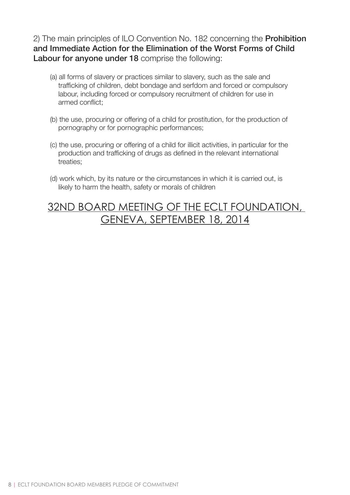2) The main principles of ILO Convention No. 182 concerning the **Prohibition** and Immediate Action for the Elimination of the Worst Forms of Child Labour for anyone under 18 comprise the following:

- (a) all forms of slavery or practices similar to slavery, such as the sale and trafficking of children, debt bondage and serfdom and forced or compulsory labour, including forced or compulsory recruitment of children for use in armed conflict;
- (b) the use, procuring or offering of a child for prostitution, for the production of pornography or for pornographic performances;
- (c) the use, procuring or offering of a child for illicit activities, in particular for the production and trafficking of drugs as defined in the relevant international treaties;
- (d) work which, by its nature or the circumstances in which it is carried out, is likely to harm the health, safety or morals of children

# 32ND BOARD MEETING OF THE ECLT FOUNDATION, GENEVA, SEPTEMBER 18, 2014